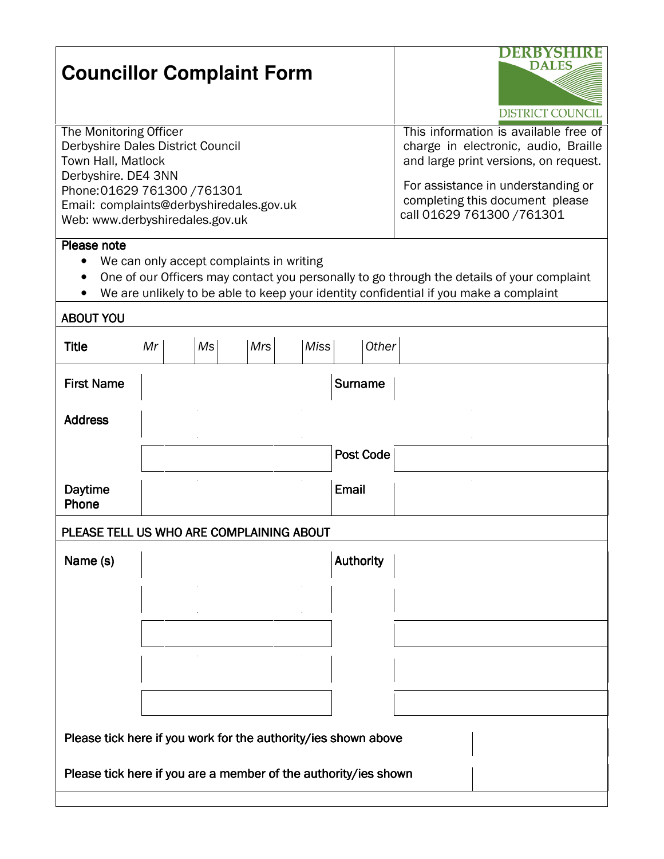| <b>Councillor Complaint Form</b>                                                                                                                                                                                                                            |    |    | EKBYSHI<br><b>DALES</b><br><b>DISTRICT COUNCIL</b>                                                                                                                                                                            |             |                  |  |  |  |  |
|-------------------------------------------------------------------------------------------------------------------------------------------------------------------------------------------------------------------------------------------------------------|----|----|-------------------------------------------------------------------------------------------------------------------------------------------------------------------------------------------------------------------------------|-------------|------------------|--|--|--|--|
| The Monitoring Officer<br>Derbyshire Dales District Council<br>Town Hall, Matlock<br>Derbyshire. DE4 3NN<br>Phone: 01629 761300 / 761301<br>Email: complaints@derbyshiredales.gov.uk<br>Web: www.derbyshiredales.gov.uk                                     |    |    | This information is available free of<br>charge in electronic, audio, Braille<br>and large print versions, on request.<br>For assistance in understanding or<br>completing this document please<br>call 01629 761300 / 761301 |             |                  |  |  |  |  |
| Please note<br>We can only accept complaints in writing<br>One of our Officers may contact you personally to go through the details of your complaint<br>$\bullet$<br>We are unlikely to be able to keep your identity confidential if you make a complaint |    |    |                                                                                                                                                                                                                               |             |                  |  |  |  |  |
| <b>ABOUT YOU</b><br><b>Title</b>                                                                                                                                                                                                                            | Mr | Ms | <b>Mrs</b>                                                                                                                                                                                                                    | <b>Miss</b> | <b>Other</b>     |  |  |  |  |
| <b>First Name</b>                                                                                                                                                                                                                                           |    |    |                                                                                                                                                                                                                               |             | <b>Surname</b>   |  |  |  |  |
| <b>Address</b>                                                                                                                                                                                                                                              |    |    |                                                                                                                                                                                                                               |             |                  |  |  |  |  |
|                                                                                                                                                                                                                                                             |    |    |                                                                                                                                                                                                                               |             | <b>Post Code</b> |  |  |  |  |
| <b>Daytime</b><br>Phone                                                                                                                                                                                                                                     |    |    |                                                                                                                                                                                                                               |             | Email            |  |  |  |  |
| PLEASE TELL US WHO ARE COMPLAINING ABOUT                                                                                                                                                                                                                    |    |    |                                                                                                                                                                                                                               |             |                  |  |  |  |  |
| Name (s)                                                                                                                                                                                                                                                    |    |    |                                                                                                                                                                                                                               |             | <b>Authority</b> |  |  |  |  |
|                                                                                                                                                                                                                                                             |    |    |                                                                                                                                                                                                                               |             |                  |  |  |  |  |
|                                                                                                                                                                                                                                                             |    |    |                                                                                                                                                                                                                               |             |                  |  |  |  |  |
| Please tick here if you work for the authority/ies shown above                                                                                                                                                                                              |    |    |                                                                                                                                                                                                                               |             |                  |  |  |  |  |
| Please tick here if you are a member of the authority/ies shown                                                                                                                                                                                             |    |    |                                                                                                                                                                                                                               |             |                  |  |  |  |  |
|                                                                                                                                                                                                                                                             |    |    |                                                                                                                                                                                                                               |             |                  |  |  |  |  |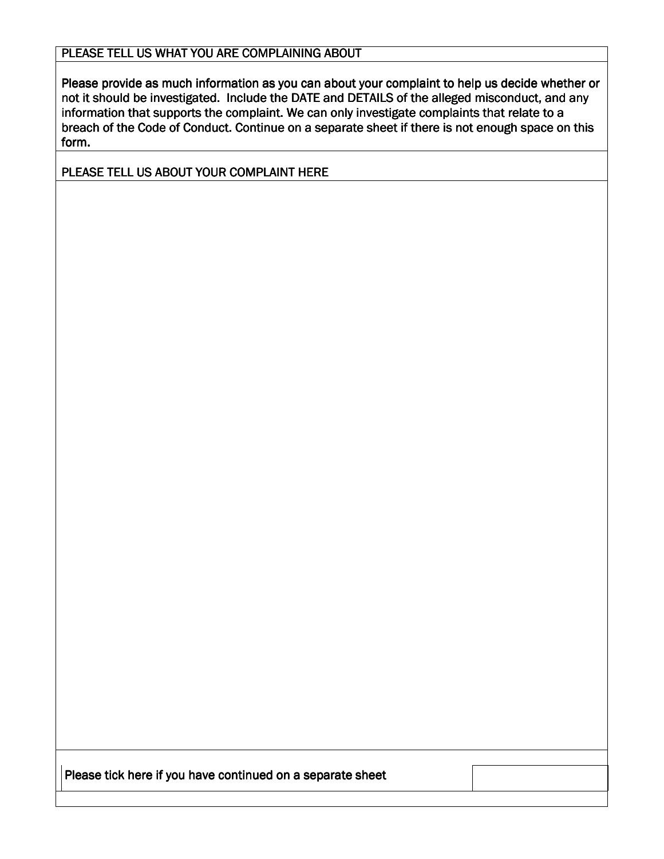## PLEASE TELL US WHAT YOU ARE COMPLAINING ABOUT

Please provide as much information as you can about your complaint to help us decide whether or not it should be investigated. Include the DATE and DETAILS of the alleged misconduct, and any information that supports the complaint. We can only investigate complaints that relate to a breach of the Code of Conduct. Continue on a separate sheet if there is not enough space on this form.

PLEASE TELL US ABOUT YOUR COMPLAINT HERE

Please tick here if you have continued on a separate sheet